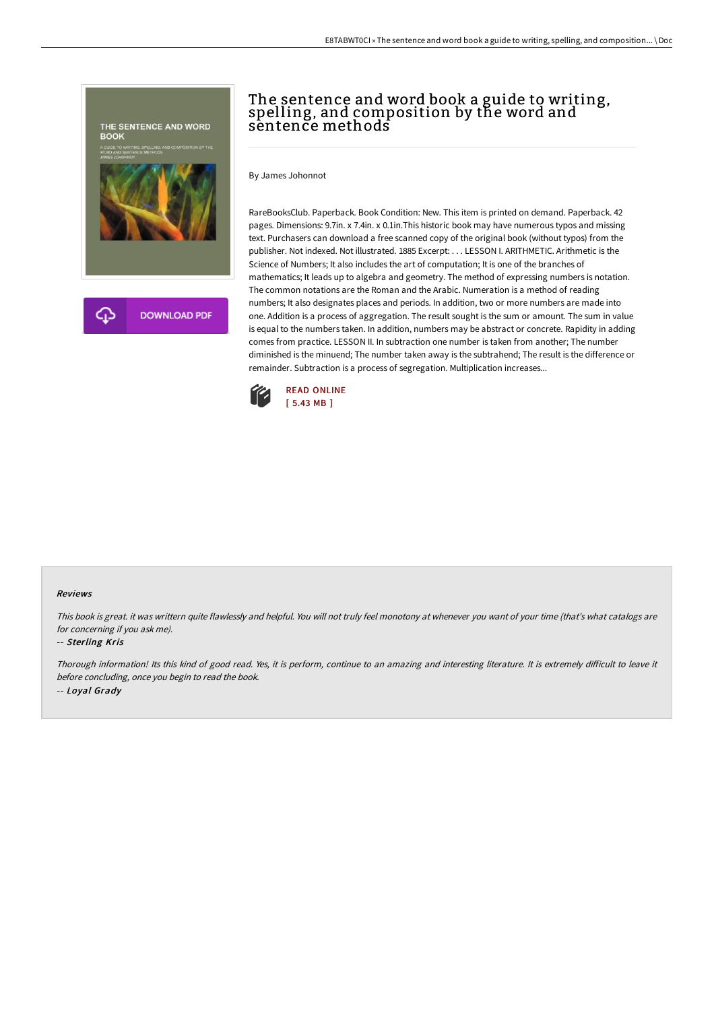

# The sentence and word book a guide to writing, spelling, and composition by the word and sentence methods

By James Johonnot

RareBooksClub. Paperback. Book Condition: New. This item is printed on demand. Paperback. 42 pages. Dimensions: 9.7in. x 7.4in. x 0.1in.This historic book may have numerous typos and missing text. Purchasers can download a free scanned copy of the original book (without typos) from the publisher. Not indexed. Not illustrated. 1885 Excerpt: . . . LESSON I. ARITHMETIC. Arithmetic is the Science of Numbers; It also includes the art of computation; It is one of the branches of mathematics; It leads up to algebra and geometry. The method of expressing numbers is notation. The common notations are the Roman and the Arabic. Numeration is a method of reading numbers; It also designates places and periods. In addition, two or more numbers are made into one. Addition is a process of aggregation. The result sought is the sum or amount. The sum in value is equal to the numbers taken. In addition, numbers may be abstract or concrete. Rapidity in adding comes from practice. LESSON II. In subtraction one number is taken from another; The number diminished is the minuend; The number taken away is the subtrahend; The result is the difference or remainder. Subtraction is a process of segregation. Multiplication increases...



#### Reviews

This book is great. it was writtern quite flawlessly and helpful. You will not truly feel monotony at whenever you want of your time (that's what catalogs are for concerning if you ask me).

### -- Sterling Kris

Thorough information! Its this kind of good read. Yes, it is perform, continue to an amazing and interesting literature. It is extremely difficult to leave it before concluding, once you begin to read the book. -- Loyal Grady